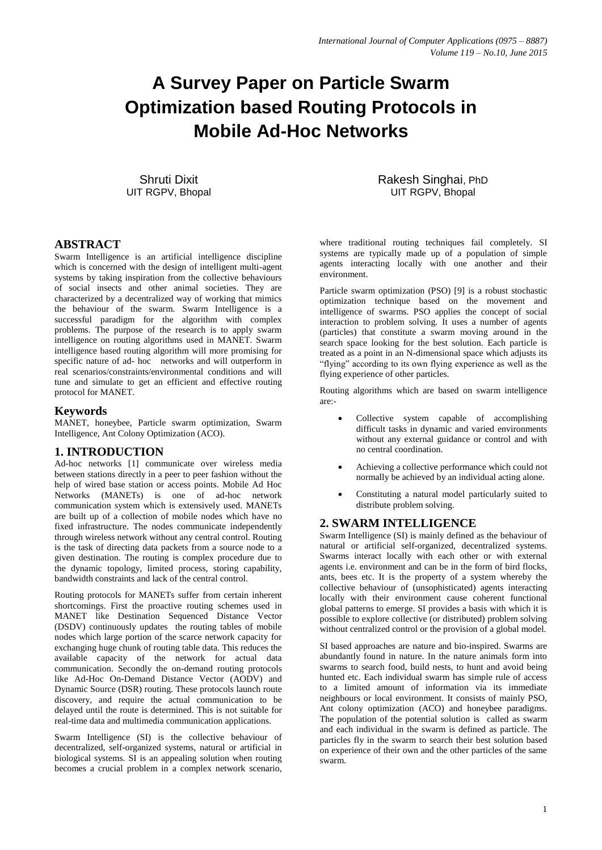# **A Survey Paper on Particle Swarm Optimization based Routing Protocols in Mobile Ad-Hoc Networks**

Shruti Dixit UIT RGPV, Bhopal

# Rakesh Singhai, PhD UIT RGPV, Bhopal

#### **ABSTRACT**

Swarm Intelligence is an artificial intelligence discipline which is concerned with the design of intelligent multi-agent systems by taking inspiration from the collective behaviours of social insects and other animal societies. They are characterized by a decentralized way of working that mimics the behaviour of the swarm. Swarm Intelligence is a successful paradigm for the algorithm with complex problems. The purpose of the research is to apply swarm intelligence on routing algorithms used in MANET. Swarm intelligence based routing algorithm will more promising for specific nature of ad- hoc networks and will outperform in real scenarios/constraints/environmental conditions and will tune and simulate to get an efficient and effective routing protocol for MANET.

#### **Keywords**

MANET, honeybee, Particle swarm optimization, Swarm Intelligence, Ant Colony Optimization (ACO).

# **1. INTRODUCTION**

Ad-hoc networks [1] communicate over wireless media between stations directly in a peer to peer fashion without the help of wired base station or access points. Mobile Ad Hoc Networks (MANETs) is one of ad-hoc network communication system which is extensively used. MANETs are built up of a collection of mobile nodes which have no fixed infrastructure. The nodes communicate independently through wireless network without any central control. Routing is the task of directing data packets from a source node to a given destination. The routing is complex procedure due to the dynamic topology, limited process, storing capability, bandwidth constraints and lack of the central control.

Routing protocols for MANETs suffer from certain inherent shortcomings. First the proactive routing schemes used in MANET like Destination Sequenced Distance Vector (DSDV) continuously updates the routing tables of mobile nodes which large portion of the scarce network capacity for exchanging huge chunk of routing table data. This reduces the available capacity of the network for actual data communication. Secondly the on-demand routing protocols like Ad-Hoc On-Demand Distance Vector (AODV) and Dynamic Source (DSR) routing. These protocols launch route discovery, and require the actual communication to be delayed until the route is determined. This is not suitable for real-time data and multimedia communication applications.

Swarm Intelligence (SI) is the collective behaviour of decentralized, self-organized systems, natural or artificial in biological systems. SI is an appealing solution when routing becomes a crucial problem in a complex network scenario,

where traditional routing techniques fail completely. SI systems are typically made up of a population of simple agents interacting locally with one another and their environment.

Particle swarm optimization (PSO) [9] is a robust stochastic optimization technique based on the movement and intelligence of swarms. PSO applies the concept of social interaction to problem solving. It uses a number of agents (particles) that constitute a swarm moving around in the search space looking for the best solution. Each particle is treated as a point in an N-dimensional space which adjusts its "flying" according to its own flying experience as well as the flying experience of other particles.

Routing algorithms which are based on swarm intelligence are:-

- Collective system capable of accomplishing difficult tasks in dynamic and varied environments without any external guidance or control and with no central coordination.
- Achieving a collective performance which could not normally be achieved by an individual acting alone.
- Constituting a natural model particularly suited to distribute problem solving.

# **2. SWARM INTELLIGENCE**

Swarm Intelligence (SI) is mainly defined as the behaviour of natural or artificial self-organized, decentralized systems. Swarms interact locally with each other or with external agents i.e. environment and can be in the form of bird flocks, ants, bees etc. It is the property of a system whereby the collective behaviour of (unsophisticated) agents interacting locally with their environment cause coherent functional global patterns to emerge. SI provides a basis with which it is possible to explore collective (or distributed) problem solving without centralized control or the provision of a global model.

SI based approaches are nature and bio-inspired. Swarms are abundantly found in nature. In the nature animals form into swarms to search food, build nests, to hunt and avoid being hunted etc. Each individual swarm has simple rule of access to a limited amount of information via its immediate neighbours or local environment. It consists of mainly PSO, Ant colony optimization (ACO) and honeybee paradigms. The population of the potential solution is called as swarm and each individual in the swarm is defined as particle. The particles fly in the swarm to search their best solution based on experience of their own and the other particles of the same swarm.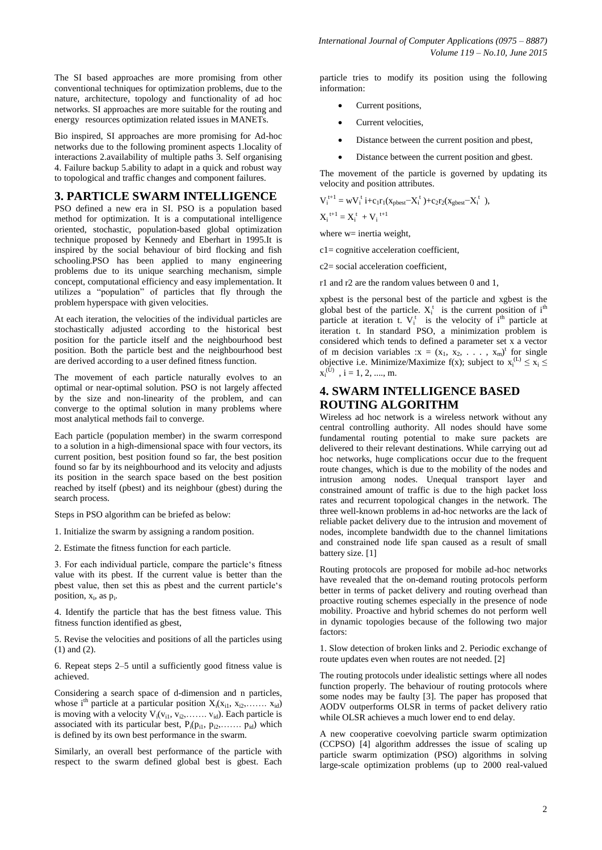The SI based approaches are more promising from other conventional techniques for optimization problems, due to the nature, architecture, topology and functionality of ad hoc networks. SI approaches are more suitable for the routing and energy resources optimization related issues in MANETs.

Bio inspired, SI approaches are more promising for Ad-hoc networks due to the following prominent aspects 1.locality of interactions 2.availability of multiple paths 3. Self organising 4. Failure backup 5.ability to adapt in a quick and robust way to topological and traffic changes and component failures.

#### **3. PARTICLE SWARM INTELLIGENCE**

PSO defined a new era in SI. PSO is a population based method for optimization. It is a computational intelligence oriented, stochastic, population-based global optimization technique proposed by Kennedy and Eberhart in 1995.It is inspired by the social behaviour of bird flocking and fish schooling.PSO has been applied to many engineering problems due to its unique searching mechanism, simple concept, computational efficiency and easy implementation. It utilizes a "population" of particles that fly through the problem hyperspace with given velocities.

At each iteration, the velocities of the individual particles are stochastically adjusted according to the historical best position for the particle itself and the neighbourhood best position. Both the particle best and the neighbourhood best are derived according to a user defined fitness function.

The movement of each particle naturally evolves to an optimal or near-optimal solution. PSO is not largely affected by the size and non-linearity of the problem, and can converge to the optimal solution in many problems where most analytical methods fail to converge.

Each particle (population member) in the swarm correspond to a solution in a high-dimensional space with four vectors, its current position, best position found so far, the best position found so far by its neighbourhood and its velocity and adjusts its position in the search space based on the best position reached by itself (pbest) and its neighbour (gbest) during the search process.

Steps in PSO algorithm can be briefed as below:

1. Initialize the swarm by assigning a random position.

2. Estimate the fitness function for each particle.

3. For each individual particle, compare the particle's fitness value with its pbest. If the current value is better than the pbest value, then set this as pbest and the current particle's position,  $x_i$ , as  $p_i$ .

4. Identify the particle that has the best fitness value. This fitness function identified as gbest,

5. Revise the velocities and positions of all the particles using (1) and (2).

6. Repeat steps 2–5 until a sufficiently good fitness value is achieved.

Considering a search space of d-dimension and n particles, whose i<sup>th</sup> particle at a particular position  $X_i(x_{i1}, x_{i2}, \ldots, x_{id})$ is moving with a velocity  $V_i(v_{i1}, v_{i2}, \ldots, v_{id})$ . Each particle is associated with its particular best,  $P_i(p_{i1}, p_{i2}, \ldots, p_{id})$  which is defined by its own best performance in the swarm.

Similarly, an overall best performance of the particle with respect to the swarm defined global best is gbest. Each particle tries to modify its position using the following information:

- Current positions,
- Current velocities,
- Distance between the current position and pbest,
- Distance between the current position and gbest.

The movement of the particle is governed by updating its velocity and position attributes.

$$
V_i^{t+1} = wV_i^t i + c_1r_1(x_{pbest} - X_i^t) + c_2r_2(x_{gbest} - X_i^t),
$$
  

$$
X_i^{t+1} = X_i^t + V_i^{t+1}
$$

where  $w=$  inertia weight,

c1= cognitive acceleration coefficient,

c2= social acceleration coefficient,

r1 and r2 are the random values between 0 and 1,

xpbest is the personal best of the particle and xgbest is the global best of the particle.  $X_i^t$  is the current position of  $i<sup>th</sup>$ particle at iteration t.  $V_i^t$  is the velocity of  $i^{\text{th}}$  particle at iteration t. In standard PSO, a minimization problem is considered which tends to defined a parameter set x a vector of m decision variables : $x = (x_1, x_2, \ldots, x_m)^t$  for single objective i.e. Minimize/Maximize  $f(x)$ ; subject to  $x_i^{(L)} \le x_i \le$  $x_i^{(U)}$ ,  $i = 1, 2, ..., m$ .

#### **4. SWARM INTELLIGENCE BASED ROUTING ALGORITHM**

Wireless ad hoc network is a wireless network without any central controlling authority. All nodes should have some fundamental routing potential to make sure packets are delivered to their relevant destinations. While carrying out ad hoc networks, huge complications occur due to the frequent route changes, which is due to the mobility of the nodes and intrusion among nodes. Unequal transport layer and constrained amount of traffic is due to the high packet loss rates and recurrent topological changes in the network. The three well-known problems in ad-hoc networks are the lack of reliable packet delivery due to the intrusion and movement of nodes, incomplete bandwidth due to the channel limitations and constrained node life span caused as a result of small battery size. [1]

Routing protocols are proposed for mobile ad-hoc networks have revealed that the on-demand routing protocols perform better in terms of packet delivery and routing overhead than proactive routing schemes especially in the presence of node mobility. Proactive and hybrid schemes do not perform well in dynamic topologies because of the following two major factors:

1. Slow detection of broken links and 2. Periodic exchange of route updates even when routes are not needed. [2]

The routing protocols under idealistic settings where all nodes function properly. The behaviour of routing protocols where some nodes may be faulty [3]. The paper has proposed that AODV outperforms OLSR in terms of packet delivery ratio while OLSR achieves a much lower end to end delay.

A new cooperative coevolving particle swarm optimization (CCPSO) [4] algorithm addresses the issue of scaling up particle swarm optimization (PSO) algorithms in solving large-scale optimization problems (up to 2000 real-valued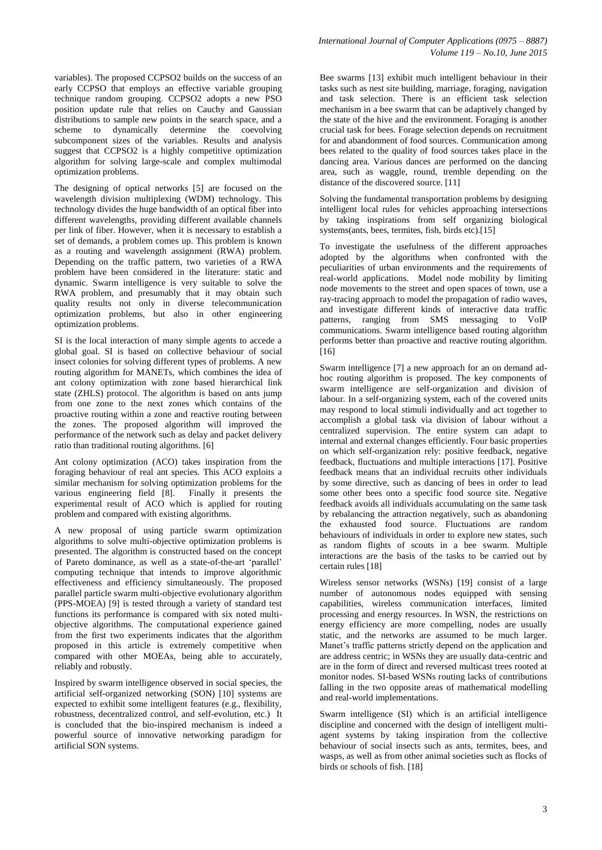variables). The proposed CCPSO2 builds on the success of an early CCPSO that employs an effective variable grouping technique random grouping. CCPSO2 adopts a new PSO position update rule that relies on Cauchy and Gaussian distributions to sample new points in the search space, and a scheme to dynamically determine the coevolving subcomponent sizes of the variables. Results and analysis suggest that CCPSO2 is a highly competitive optimization algorithm for solving large-scale and complex multimodal optimization problems.

The designing of optical networks [5] are focused on the wavelength division multiplexing (WDM) technology. This technology divides the huge bandwidth of an optical fiber into different wavelengths, providing different available channels per link of fiber. However, when it is necessary to establish a set of demands, a problem comes up. This problem is known as a routing and wavelength assignment (RWA) problem. Depending on the traffic pattern, two varieties of a RWA problem have been considered in the literature: static and dynamic. Swarm intelligence is very suitable to solve the RWA problem, and presumably that it may obtain such quality results not only in diverse telecommunication optimization problems, but also in other engineering optimization problems.

SI is the local interaction of many simple agents to accede a global goal. SI is based on collective behaviour of social insect colonies for solving different types of problems. A new routing algorithm for MANETs, which combines the idea of ant colony optimization with zone based hierarchical link state (ZHLS) protocol. The algorithm is based on ants jump from one zone to the next zones which contains of the proactive routing within a zone and reactive routing between the zones. The proposed algorithm will improved the performance of the network such as delay and packet delivery ratio than traditional routing algorithms. [6]

Ant colony optimization (ACO) takes inspiration from the foraging behaviour of real ant species. This ACO exploits a similar mechanism for solving optimization problems for the various engineering field [8]. Finally it presents the experimental result of ACO which is applied for routing problem and compared with existing algorithms.

A new proposal of using particle swarm optimization algorithms to solve multi-objective optimization problems is presented. The algorithm is constructed based on the concept of Pareto dominance, as well as a state-of-the-art 'parallel' computing technique that intends to improve algorithmic effectiveness and efficiency simultaneously. The proposed parallel particle swarm multi-objective evolutionary algorithm (PPS-MOEA) [9] is tested through a variety of standard test functions its performance is compared with six noted multiobjective algorithms. The computational experience gained from the first two experiments indicates that the algorithm proposed in this article is extremely competitive when compared with other MOEAs, being able to accurately, reliably and robustly.

Inspired by swarm intelligence observed in social species, the artificial self-organized networking (SON) [10] systems are expected to exhibit some intelligent features (e.g., flexibility, robustness, decentralized control, and self-evolution, etc.) It is concluded that the bio-inspired mechanism is indeed a powerful source of innovative networking paradigm for artificial SON systems.

Bee swarms [13] exhibit much intelligent behaviour in their tasks such as nest site building, marriage, foraging, navigation and task selection. There is an efficient task selection mechanism in a bee swarm that can be adaptively changed by the state of the hive and the environment. Foraging is another crucial task for bees. Forage selection depends on recruitment for and abandonment of food sources. Communication among bees related to the quality of food sources takes place in the dancing area. Various dances are performed on the dancing area, such as waggle, round, tremble depending on the distance of the discovered source. [11]

Solving the fundamental transportation problems by designing intelligent local rules for vehicles approaching intersections by taking inspirations from self organizing biological systems(ants, bees, termites, fish, birds etc).[15]

To investigate the usefulness of the different approaches adopted by the algorithms when confronted with the peculiarities of urban environments and the requirements of real-world applications. Model node mobility by limiting node movements to the street and open spaces of town, use a ray-tracing approach to model the propagation of radio waves, and investigate different kinds of interactive data traffic patterns, ranging from SMS messaging to VoIP communications. Swarm intelligence based routing algorithm performs better than proactive and reactive routing algorithm. [16]

Swarm intelligence [7] a new approach for an on demand adhoc routing algorithm is proposed. The key components of swarm intelligence are self-organization and division of labour. In a self-organizing system, each of the covered units may respond to local stimuli individually and act together to accomplish a global task via division of labour without a centralized supervision. The entire system can adapt to internal and external changes efficiently. Four basic properties on which self-organization rely: positive feedback, negative feedback, fluctuations and multiple interactions [17]. Positive feedback means that an individual recruits other individuals by some directive, such as dancing of bees in order to lead some other bees onto a specific food source site. Negative feedback avoids all individuals accumulating on the same task by rebalancing the attraction negatively, such as abandoning the exhausted food source. Fluctuations are random behaviours of individuals in order to explore new states, such as random flights of scouts in a bee swarm. Multiple interactions are the basis of the tasks to be carried out by certain rules [18]

Wireless sensor networks (WSNs) [19] consist of a large number of autonomous nodes equipped with sensing capabilities, wireless communication interfaces, limited processing and energy resources. In WSN, the restrictions on energy efficiency are more compelling, nodes are usually static, and the networks are assumed to be much larger. Manet's traffic patterns strictly depend on the application and are address centric; in WSNs they are usually data-centric and are in the form of direct and reversed multicast trees rooted at monitor nodes. SI-based WSNs routing lacks of contributions falling in the two opposite areas of mathematical modelling and real-world implementations.

Swarm intelligence (SI) which is an artificial intelligence discipline and concerned with the design of intelligent multiagent systems by taking inspiration from the collective behaviour of social insects such as ants, termites, bees, and wasps, as well as from other animal societies such as flocks of birds or schools of fish. [18]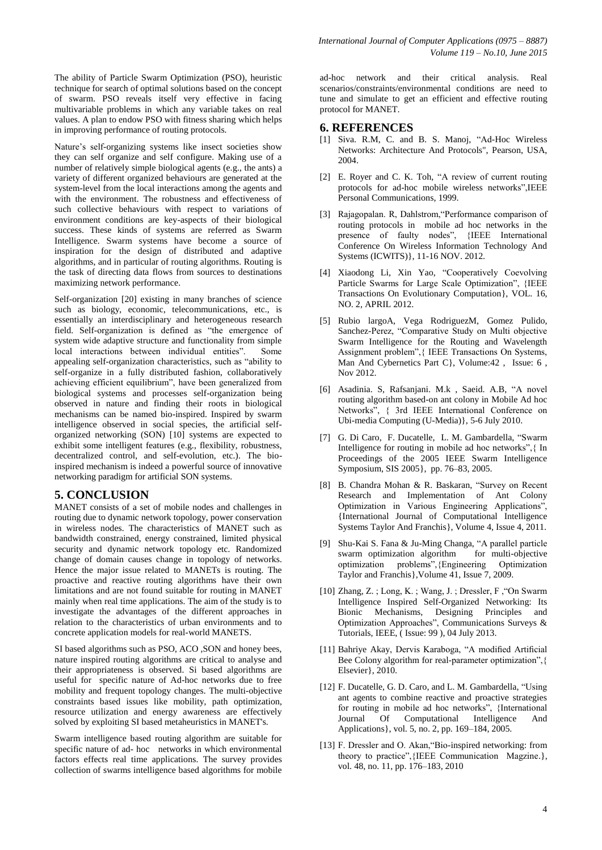The ability of Particle Swarm Optimization (PSO), heuristic technique for search of optimal solutions based on the concept of swarm. PSO reveals itself very effective in facing multivariable problems in which any variable takes on real values. A plan to endow PSO with fitness sharing which helps in improving performance of routing protocols.

Nature's self-organizing systems like insect societies show they can self organize and self configure. Making use of a number of relatively simple biological agents (e.g., the ants) a variety of different organized behaviours are generated at the system-level from the local interactions among the agents and with the environment. The robustness and effectiveness of such collective behaviours with respect to variations of environment conditions are key-aspects of their biological success. These kinds of systems are referred as Swarm Intelligence. Swarm systems have become a source of inspiration for the design of distributed and adaptive algorithms, and in particular of routing algorithms. Routing is the task of directing data flows from sources to destinations maximizing network performance.

Self-organization [20] existing in many branches of science such as biology, economic, telecommunications, etc., is essentially an interdisciplinary and heterogeneous research field. Self-organization is defined as "the emergence of system wide adaptive structure and functionality from simple local interactions between individual entities". Some appealing self-organization characteristics, such as "ability to self-organize in a fully distributed fashion, collaboratively achieving efficient equilibrium", have been generalized from biological systems and processes self-organization being observed in nature and finding their roots in biological mechanisms can be named bio-inspired. Inspired by swarm intelligence observed in social species, the artificial selforganized networking (SON) [10] systems are expected to exhibit some intelligent features (e.g., flexibility, robustness, decentralized control, and self-evolution, etc.). The bioinspired mechanism is indeed a powerful source of innovative networking paradigm for artificial SON systems.

# **5. CONCLUSION**

MANET consists of a set of mobile nodes and challenges in routing due to dynamic network topology, power conservation in wireless nodes. The characteristics of MANET such as bandwidth constrained, energy constrained, limited physical security and dynamic network topology etc. Randomized change of domain causes change in topology of networks. Hence the major issue related to MANETs is routing. The proactive and reactive routing algorithms have their own limitations and are not found suitable for routing in MANET mainly when real time applications. The aim of the study is to investigate the advantages of the different approaches in relation to the characteristics of urban environments and to concrete application models for real-world MANETS.

SI based algorithms such as PSO, ACO , SON and honey bees, nature inspired routing algorithms are critical to analyse and their appropriateness is observed. Si based algorithms are useful for specific nature of Ad-hoc networks due to free mobility and frequent topology changes. The multi-objective constraints based issues like mobility, path optimization, resource utilization and energy awareness are effectively solved by exploiting SI based metaheuristics in MANET's.

Swarm intelligence based routing algorithm are suitable for specific nature of ad- hoc networks in which environmental factors effects real time applications. The survey provides collection of swarms intelligence based algorithms for mobile

ad-hoc network and their critical analysis. Real scenarios/constraints/environmental conditions are need to tune and simulate to get an efficient and effective routing protocol for MANET.

#### **6. REFERENCES**

- [1] Siva. R.M, C. and B. S. Manoj, "Ad-Hoc Wireless Networks: Architecture And Protocols", Pearson, USA, 2004.
- [2] E. Royer and C. K. Toh, "A review of current routing protocols for ad-hoc mobile wireless networks",IEEE Personal Communications, 1999.
- [3] Rajagopalan. R, Dahlstrom,"Performance comparison of routing protocols in mobile ad hoc networks in the presence of faulty nodes", {IEEE International Conference On Wireless Information Technology And Systems (ICWITS)}, 11-16 NOV. 2012.
- [4] Xiaodong Li, Xin Yao, "Cooperatively Coevolving Particle Swarms for Large Scale Optimization", {IEEE Transactions On Evolutionary Computation}, VOL. 16, NO. 2, APRIL 2012.
- [5] Rubio largoA, Vega RodriguezM, Gomez Pulido, Sanchez-Perez, "Comparative Study on Multi objective Swarm Intelligence for the Routing and Wavelength Assignment problem",{ IEEE Transactions On Systems, Man And Cybernetics Part C}, Volume:42 , Issue: 6 , Nov 2012.
- [6] Asadinia. S, Rafsanjani. M.k , Saeid. A.B, "A novel routing algorithm based-on ant colony in Mobile Ad hoc Networks", { 3rd IEEE International Conference on Ubi-media Computing (U-Media)}, 5-6 July 2010.
- [7] G. Di Caro, F. Ducatelle, L. M. Gambardella, "Swarm Intelligence for routing in mobile ad hoc networks",{ In Proceedings of the 2005 IEEE Swarm Intelligence Symposium, SIS 2005}, pp. 76–83, 2005.
- [8] B. Chandra Mohan & R. Baskaran, "Survey on Recent Research and Implementation of Ant Colony Optimization in Various Engineering Applications", {International Journal of Computational Intelligence Systems Taylor And Franchis}, Volume 4, Issue 4, 2011.
- [9] Shu-Kai S. Fana & Ju-Ming Changa, "A parallel particle swarm optimization algorithm for multi-objective optimization problems",{Engineering Optimization Taylor and Franchis},Volume 41, Issue 7, 2009.
- [10] Zhang, Z. ; Long, K. ; Wang, J. ; Dressler, F ,"On Swarm Intelligence Inspired Self-Organized Networking: Its Bionic Mechanisms, Designing Principles and Optimization Approaches", Communications Surveys & Tutorials, IEEE, ( Issue: 99 ), 04 July 2013.
- [11] Bahriye Akay, Dervis Karaboga, "A modified Artificial Bee Colony algorithm for real-parameter optimization",{ Elsevier}, 2010.
- [12] F. Ducatelle, G. D. Caro, and L. M. Gambardella, "Using ant agents to combine reactive and proactive strategies for routing in mobile ad hoc networks", {International Journal Of Computational Intelligence And Applications}, vol. 5, no. 2, pp. 169–184, 2005.
- [13] F. Dressler and O. Akan, "Bio-inspired networking: from theory to practice",{IEEE Communication Magzine.}, vol. 48, no. 11, pp. 176–183, 2010